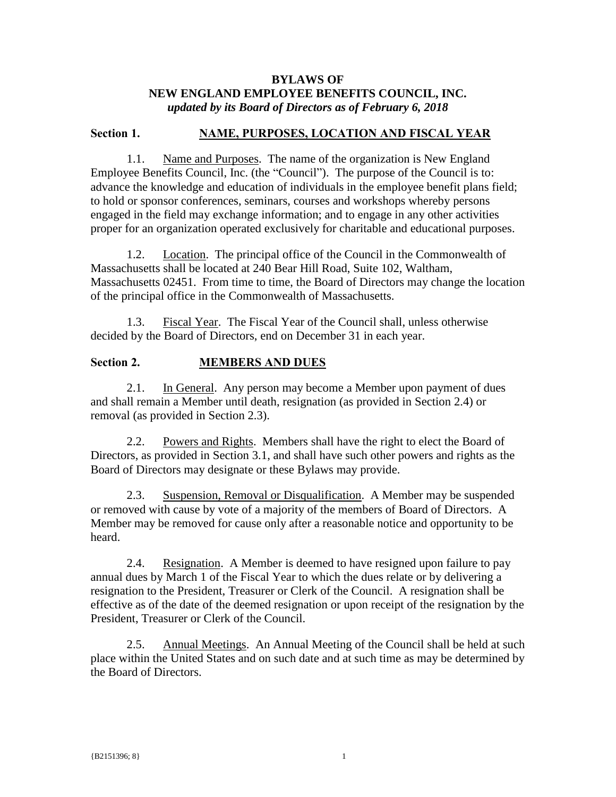### **BYLAWS OF NEW ENGLAND EMPLOYEE BENEFITS COUNCIL, INC.** *updated by its Board of Directors as of February 6, 2018*

#### **Section 1. NAME, PURPOSES, LOCATION AND FISCAL YEAR**

1.1. Name and Purposes. The name of the organization is New England Employee Benefits Council, Inc. (the "Council"). The purpose of the Council is to: advance the knowledge and education of individuals in the employee benefit plans field; to hold or sponsor conferences, seminars, courses and workshops whereby persons engaged in the field may exchange information; and to engage in any other activities proper for an organization operated exclusively for charitable and educational purposes.

1.2. Location. The principal office of the Council in the Commonwealth of Massachusetts shall be located at 240 Bear Hill Road, Suite 102, Waltham, Massachusetts 02451. From time to time, the Board of Directors may change the location of the principal office in the Commonwealth of Massachusetts.

1.3. Fiscal Year. The Fiscal Year of the Council shall, unless otherwise decided by the Board of Directors, end on December 31 in each year.

### **Section 2. MEMBERS AND DUES**

2.1. In General. Any person may become a Member upon payment of dues and shall remain a Member until death, resignation (as provided in Section 2.4) or removal (as provided in Section 2.3).

2.2. Powers and Rights. Members shall have the right to elect the Board of Directors, as provided in Section 3.1, and shall have such other powers and rights as the Board of Directors may designate or these Bylaws may provide.

2.3. Suspension, Removal or Disqualification. A Member may be suspended or removed with cause by vote of a majority of the members of Board of Directors. A Member may be removed for cause only after a reasonable notice and opportunity to be heard.

2.4. Resignation. A Member is deemed to have resigned upon failure to pay annual dues by March 1 of the Fiscal Year to which the dues relate or by delivering a resignation to the President, Treasurer or Clerk of the Council. A resignation shall be effective as of the date of the deemed resignation or upon receipt of the resignation by the President, Treasurer or Clerk of the Council.

2.5. Annual Meetings. An Annual Meeting of the Council shall be held at such place within the United States and on such date and at such time as may be determined by the Board of Directors.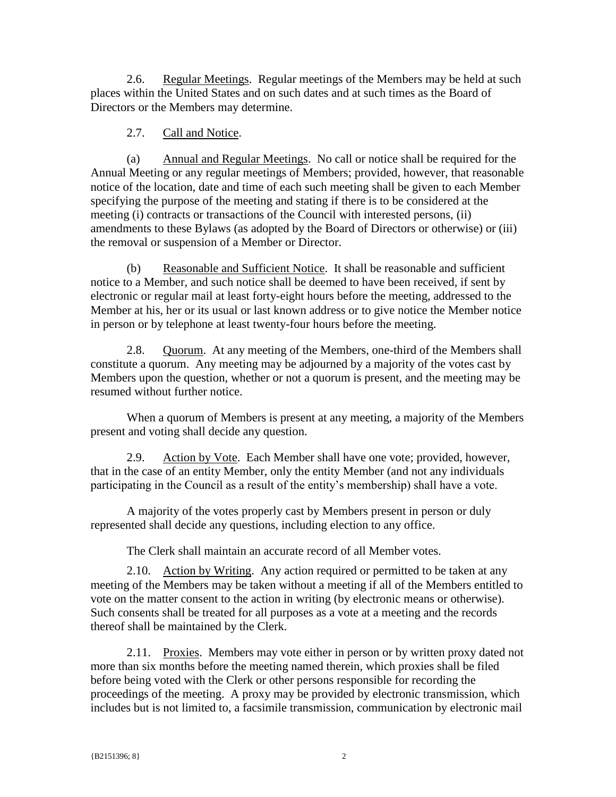2.6. Regular Meetings. Regular meetings of the Members may be held at such places within the United States and on such dates and at such times as the Board of Directors or the Members may determine.

## 2.7. Call and Notice.

(a) Annual and Regular Meetings. No call or notice shall be required for the Annual Meeting or any regular meetings of Members; provided, however, that reasonable notice of the location, date and time of each such meeting shall be given to each Member specifying the purpose of the meeting and stating if there is to be considered at the meeting (i) contracts or transactions of the Council with interested persons, (ii) amendments to these Bylaws (as adopted by the Board of Directors or otherwise) or (iii) the removal or suspension of a Member or Director.

(b) Reasonable and Sufficient Notice. It shall be reasonable and sufficient notice to a Member, and such notice shall be deemed to have been received, if sent by electronic or regular mail at least forty-eight hours before the meeting, addressed to the Member at his, her or its usual or last known address or to give notice the Member notice in person or by telephone at least twenty-four hours before the meeting.

2.8. Quorum. At any meeting of the Members, one-third of the Members shall constitute a quorum. Any meeting may be adjourned by a majority of the votes cast by Members upon the question, whether or not a quorum is present, and the meeting may be resumed without further notice.

When a quorum of Members is present at any meeting, a majority of the Members present and voting shall decide any question.

2.9. Action by Vote. Each Member shall have one vote; provided, however, that in the case of an entity Member, only the entity Member (and not any individuals participating in the Council as a result of the entity's membership) shall have a vote.

A majority of the votes properly cast by Members present in person or duly represented shall decide any questions, including election to any office.

The Clerk shall maintain an accurate record of all Member votes.

2.10. Action by Writing. Any action required or permitted to be taken at any meeting of the Members may be taken without a meeting if all of the Members entitled to vote on the matter consent to the action in writing (by electronic means or otherwise). Such consents shall be treated for all purposes as a vote at a meeting and the records thereof shall be maintained by the Clerk.

2.11. Proxies. Members may vote either in person or by written proxy dated not more than six months before the meeting named therein, which proxies shall be filed before being voted with the Clerk or other persons responsible for recording the proceedings of the meeting. A proxy may be provided by electronic transmission, which includes but is not limited to, a facsimile transmission, communication by electronic mail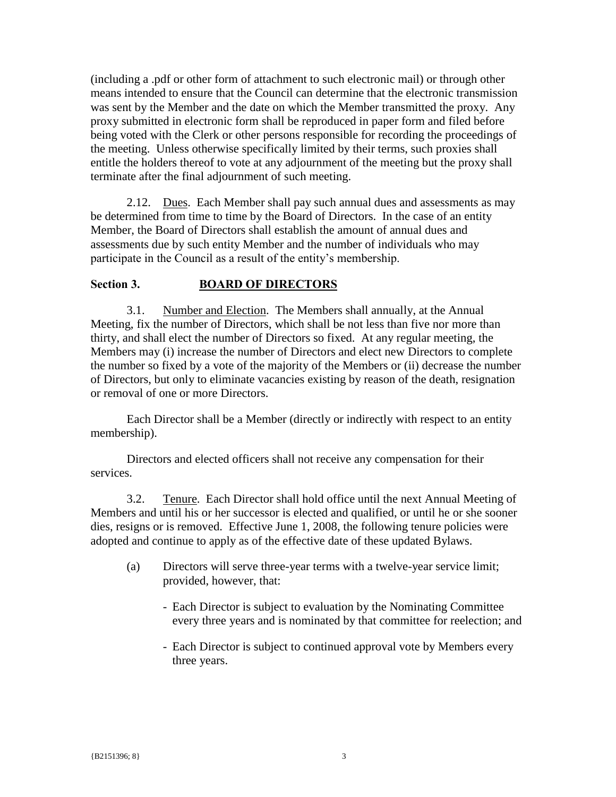(including a .pdf or other form of attachment to such electronic mail) or through other means intended to ensure that the Council can determine that the electronic transmission was sent by the Member and the date on which the Member transmitted the proxy. Any proxy submitted in electronic form shall be reproduced in paper form and filed before being voted with the Clerk or other persons responsible for recording the proceedings of the meeting. Unless otherwise specifically limited by their terms, such proxies shall entitle the holders thereof to vote at any adjournment of the meeting but the proxy shall terminate after the final adjournment of such meeting.

2.12. Dues. Each Member shall pay such annual dues and assessments as may be determined from time to time by the Board of Directors. In the case of an entity Member, the Board of Directors shall establish the amount of annual dues and assessments due by such entity Member and the number of individuals who may participate in the Council as a result of the entity's membership.

#### **Section 3. BOARD OF DIRECTORS**

3.1. Number and Election. The Members shall annually, at the Annual Meeting, fix the number of Directors, which shall be not less than five nor more than thirty, and shall elect the number of Directors so fixed. At any regular meeting, the Members may (i) increase the number of Directors and elect new Directors to complete the number so fixed by a vote of the majority of the Members or (ii) decrease the number of Directors, but only to eliminate vacancies existing by reason of the death, resignation or removal of one or more Directors.

Each Director shall be a Member (directly or indirectly with respect to an entity membership).

Directors and elected officers shall not receive any compensation for their services.

3.2. Tenure. Each Director shall hold office until the next Annual Meeting of Members and until his or her successor is elected and qualified, or until he or she sooner dies, resigns or is removed. Effective June 1, 2008, the following tenure policies were adopted and continue to apply as of the effective date of these updated Bylaws.

- (a) Directors will serve three-year terms with a twelve-year service limit; provided, however, that:
	- Each Director is subject to evaluation by the Nominating Committee every three years and is nominated by that committee for reelection; and
	- Each Director is subject to continued approval vote by Members every three years.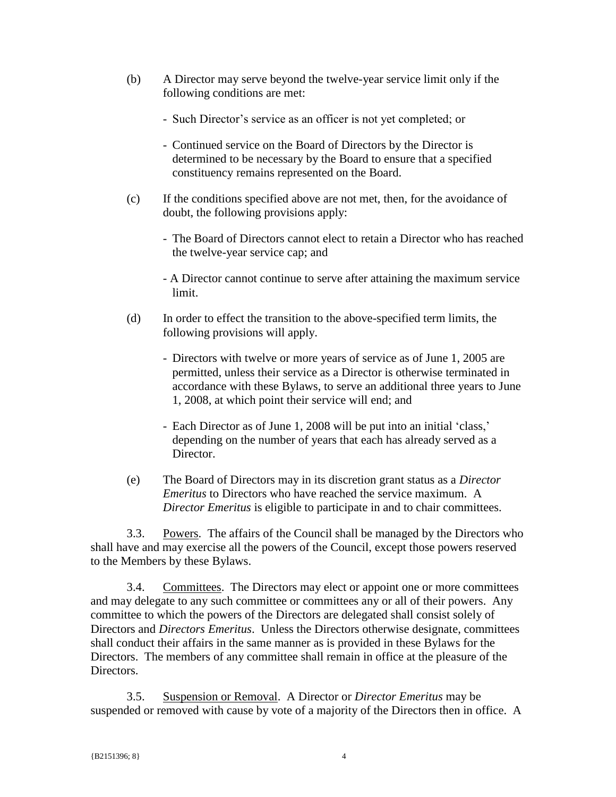- (b) A Director may serve beyond the twelve-year service limit only if the following conditions are met:
	- Such Director's service as an officer is not yet completed; or
	- Continued service on the Board of Directors by the Director is determined to be necessary by the Board to ensure that a specified constituency remains represented on the Board.
- (c) If the conditions specified above are not met, then, for the avoidance of doubt, the following provisions apply:
	- The Board of Directors cannot elect to retain a Director who has reached the twelve-year service cap; and
	- A Director cannot continue to serve after attaining the maximum service limit.
- (d) In order to effect the transition to the above-specified term limits, the following provisions will apply.
	- Directors with twelve or more years of service as of June 1, 2005 are permitted, unless their service as a Director is otherwise terminated in accordance with these Bylaws, to serve an additional three years to June 1, 2008, at which point their service will end; and
	- Each Director as of June 1, 2008 will be put into an initial 'class,' depending on the number of years that each has already served as a Director.
- (e) The Board of Directors may in its discretion grant status as a *Director Emeritus* to Directors who have reached the service maximum. A *Director Emeritus* is eligible to participate in and to chair committees.

3.3. Powers. The affairs of the Council shall be managed by the Directors who shall have and may exercise all the powers of the Council, except those powers reserved to the Members by these Bylaws.

3.4. Committees. The Directors may elect or appoint one or more committees and may delegate to any such committee or committees any or all of their powers. Any committee to which the powers of the Directors are delegated shall consist solely of Directors and *Directors Emeritus*. Unless the Directors otherwise designate, committees shall conduct their affairs in the same manner as is provided in these Bylaws for the Directors. The members of any committee shall remain in office at the pleasure of the Directors.

3.5. Suspension or Removal. A Director or *Director Emeritus* may be suspended or removed with cause by vote of a majority of the Directors then in office. A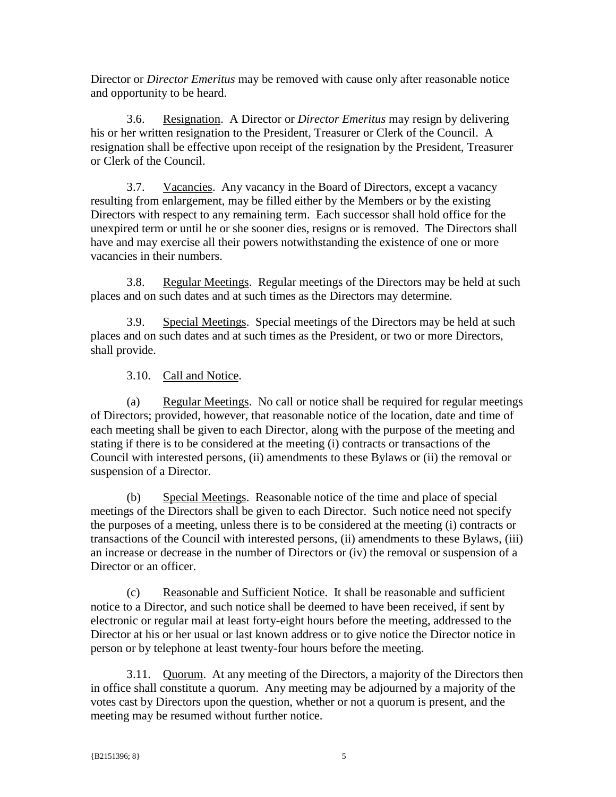Director or *Director Emeritus* may be removed with cause only after reasonable notice and opportunity to be heard.

3.6. Resignation. A Director or *Director Emeritus* may resign by delivering his or her written resignation to the President, Treasurer or Clerk of the Council. A resignation shall be effective upon receipt of the resignation by the President, Treasurer or Clerk of the Council.

3.7. Vacancies. Any vacancy in the Board of Directors, except a vacancy resulting from enlargement, may be filled either by the Members or by the existing Directors with respect to any remaining term. Each successor shall hold office for the unexpired term or until he or she sooner dies, resigns or is removed. The Directors shall have and may exercise all their powers notwithstanding the existence of one or more vacancies in their numbers.

3.8. Regular Meetings. Regular meetings of the Directors may be held at such places and on such dates and at such times as the Directors may determine.

3.9. Special Meetings. Special meetings of the Directors may be held at such places and on such dates and at such times as the President, or two or more Directors, shall provide.

3.10. Call and Notice.

(a) Regular Meetings. No call or notice shall be required for regular meetings of Directors; provided, however, that reasonable notice of the location, date and time of each meeting shall be given to each Director, along with the purpose of the meeting and stating if there is to be considered at the meeting (i) contracts or transactions of the Council with interested persons, (ii) amendments to these Bylaws or (ii) the removal or suspension of a Director.

(b) Special Meetings. Reasonable notice of the time and place of special meetings of the Directors shall be given to each Director. Such notice need not specify the purposes of a meeting, unless there is to be considered at the meeting (i) contracts or transactions of the Council with interested persons, (ii) amendments to these Bylaws, (iii) an increase or decrease in the number of Directors or (iv) the removal or suspension of a Director or an officer.

(c) Reasonable and Sufficient Notice. It shall be reasonable and sufficient notice to a Director, and such notice shall be deemed to have been received, if sent by electronic or regular mail at least forty-eight hours before the meeting, addressed to the Director at his or her usual or last known address or to give notice the Director notice in person or by telephone at least twenty-four hours before the meeting.

3.11. Quorum. At any meeting of the Directors, a majority of the Directors then in office shall constitute a quorum. Any meeting may be adjourned by a majority of the votes cast by Directors upon the question, whether or not a quorum is present, and the meeting may be resumed without further notice.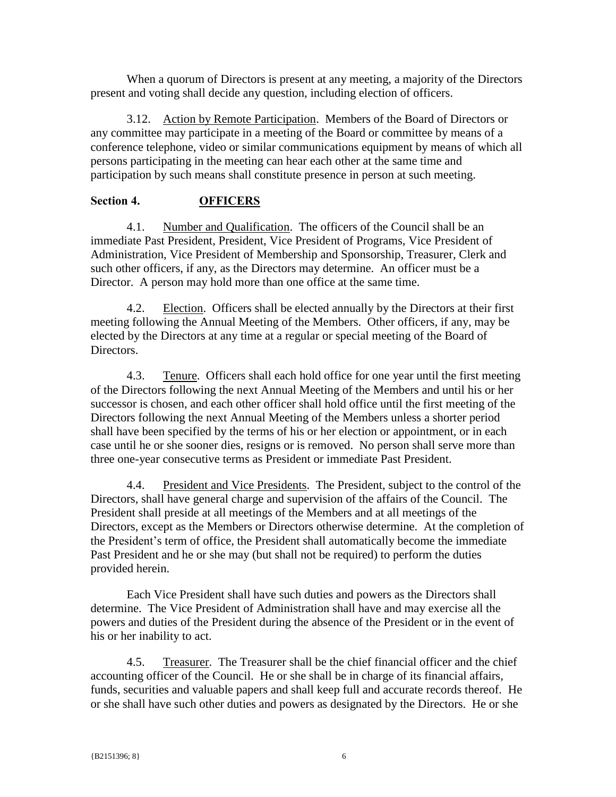When a quorum of Directors is present at any meeting, a majority of the Directors present and voting shall decide any question, including election of officers.

3.12. Action by Remote Participation. Members of the Board of Directors or any committee may participate in a meeting of the Board or committee by means of a conference telephone, video or similar communications equipment by means of which all persons participating in the meeting can hear each other at the same time and participation by such means shall constitute presence in person at such meeting.

### **Section 4. OFFICERS**

4.1. Number and Qualification. The officers of the Council shall be an immediate Past President, President, Vice President of Programs, Vice President of Administration, Vice President of Membership and Sponsorship, Treasurer, Clerk and such other officers, if any, as the Directors may determine. An officer must be a Director. A person may hold more than one office at the same time.

4.2. Election. Officers shall be elected annually by the Directors at their first meeting following the Annual Meeting of the Members. Other officers, if any, may be elected by the Directors at any time at a regular or special meeting of the Board of Directors.

4.3. Tenure. Officers shall each hold office for one year until the first meeting of the Directors following the next Annual Meeting of the Members and until his or her successor is chosen, and each other officer shall hold office until the first meeting of the Directors following the next Annual Meeting of the Members unless a shorter period shall have been specified by the terms of his or her election or appointment, or in each case until he or she sooner dies, resigns or is removed. No person shall serve more than three one-year consecutive terms as President or immediate Past President.

4.4. President and Vice Presidents. The President, subject to the control of the Directors, shall have general charge and supervision of the affairs of the Council. The President shall preside at all meetings of the Members and at all meetings of the Directors, except as the Members or Directors otherwise determine. At the completion of the President's term of office, the President shall automatically become the immediate Past President and he or she may (but shall not be required) to perform the duties provided herein.

Each Vice President shall have such duties and powers as the Directors shall determine. The Vice President of Administration shall have and may exercise all the powers and duties of the President during the absence of the President or in the event of his or her inability to act.

4.5. Treasurer. The Treasurer shall be the chief financial officer and the chief accounting officer of the Council. He or she shall be in charge of its financial affairs, funds, securities and valuable papers and shall keep full and accurate records thereof. He or she shall have such other duties and powers as designated by the Directors. He or she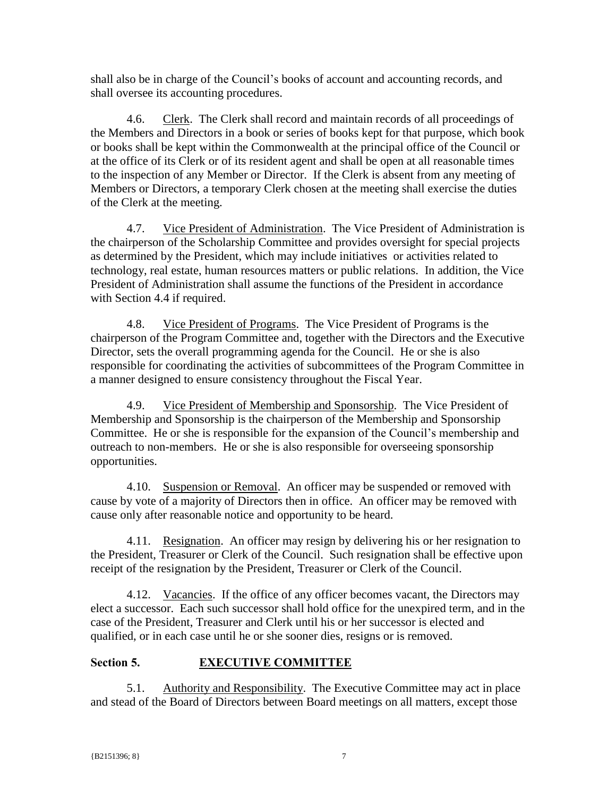shall also be in charge of the Council's books of account and accounting records, and shall oversee its accounting procedures.

4.6. Clerk. The Clerk shall record and maintain records of all proceedings of the Members and Directors in a book or series of books kept for that purpose, which book or books shall be kept within the Commonwealth at the principal office of the Council or at the office of its Clerk or of its resident agent and shall be open at all reasonable times to the inspection of any Member or Director. If the Clerk is absent from any meeting of Members or Directors, a temporary Clerk chosen at the meeting shall exercise the duties of the Clerk at the meeting.

4.7. Vice President of Administration. The Vice President of Administration is the chairperson of the Scholarship Committee and provides oversight for special projects as determined by the President, which may include initiatives or activities related to technology, real estate, human resources matters or public relations. In addition, the Vice President of Administration shall assume the functions of the President in accordance with Section 4.4 if required.

4.8. Vice President of Programs. The Vice President of Programs is the chairperson of the Program Committee and, together with the Directors and the Executive Director, sets the overall programming agenda for the Council. He or she is also responsible for coordinating the activities of subcommittees of the Program Committee in a manner designed to ensure consistency throughout the Fiscal Year.

4.9. Vice President of Membership and Sponsorship. The Vice President of Membership and Sponsorship is the chairperson of the Membership and Sponsorship Committee. He or she is responsible for the expansion of the Council's membership and outreach to non-members. He or she is also responsible for overseeing sponsorship opportunities.

4.10. Suspension or Removal. An officer may be suspended or removed with cause by vote of a majority of Directors then in office. An officer may be removed with cause only after reasonable notice and opportunity to be heard.

4.11. Resignation. An officer may resign by delivering his or her resignation to the President, Treasurer or Clerk of the Council. Such resignation shall be effective upon receipt of the resignation by the President, Treasurer or Clerk of the Council.

4.12. Vacancies. If the office of any officer becomes vacant, the Directors may elect a successor. Each such successor shall hold office for the unexpired term, and in the case of the President, Treasurer and Clerk until his or her successor is elected and qualified, or in each case until he or she sooner dies, resigns or is removed.

# **Section 5. EXECUTIVE COMMITTEE**

5.1. Authority and Responsibility. The Executive Committee may act in place and stead of the Board of Directors between Board meetings on all matters, except those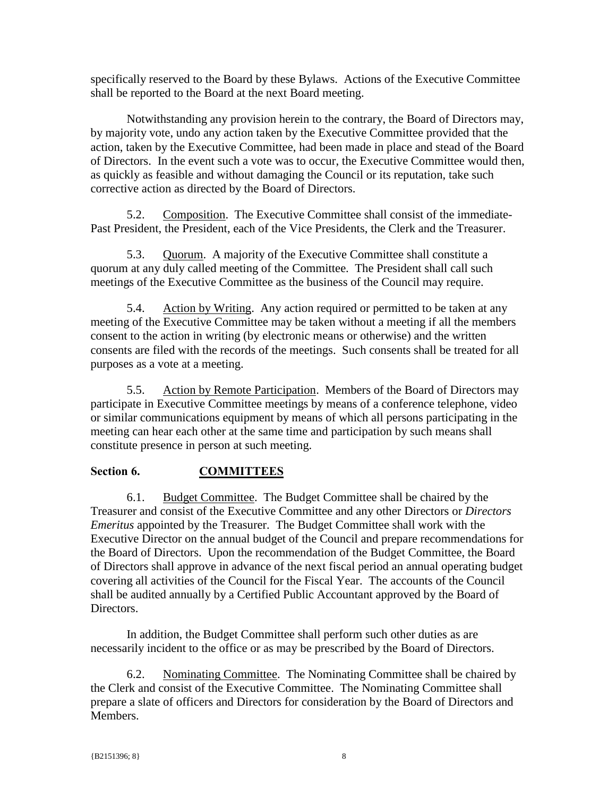specifically reserved to the Board by these Bylaws. Actions of the Executive Committee shall be reported to the Board at the next Board meeting.

Notwithstanding any provision herein to the contrary, the Board of Directors may, by majority vote, undo any action taken by the Executive Committee provided that the action, taken by the Executive Committee, had been made in place and stead of the Board of Directors. In the event such a vote was to occur, the Executive Committee would then, as quickly as feasible and without damaging the Council or its reputation, take such corrective action as directed by the Board of Directors.

5.2. Composition. The Executive Committee shall consist of the immediate-Past President, the President, each of the Vice Presidents, the Clerk and the Treasurer.

5.3. Quorum. A majority of the Executive Committee shall constitute a quorum at any duly called meeting of the Committee. The President shall call such meetings of the Executive Committee as the business of the Council may require.

5.4. Action by Writing. Any action required or permitted to be taken at any meeting of the Executive Committee may be taken without a meeting if all the members consent to the action in writing (by electronic means or otherwise) and the written consents are filed with the records of the meetings. Such consents shall be treated for all purposes as a vote at a meeting.

5.5. Action by Remote Participation. Members of the Board of Directors may participate in Executive Committee meetings by means of a conference telephone, video or similar communications equipment by means of which all persons participating in the meeting can hear each other at the same time and participation by such means shall constitute presence in person at such meeting.

# **Section 6. COMMITTEES**

6.1. Budget Committee. The Budget Committee shall be chaired by the Treasurer and consist of the Executive Committee and any other Directors or *Directors Emeritus* appointed by the Treasurer. The Budget Committee shall work with the Executive Director on the annual budget of the Council and prepare recommendations for the Board of Directors. Upon the recommendation of the Budget Committee, the Board of Directors shall approve in advance of the next fiscal period an annual operating budget covering all activities of the Council for the Fiscal Year. The accounts of the Council shall be audited annually by a Certified Public Accountant approved by the Board of Directors.

In addition, the Budget Committee shall perform such other duties as are necessarily incident to the office or as may be prescribed by the Board of Directors.

6.2. Nominating Committee. The Nominating Committee shall be chaired by the Clerk and consist of the Executive Committee. The Nominating Committee shall prepare a slate of officers and Directors for consideration by the Board of Directors and Members.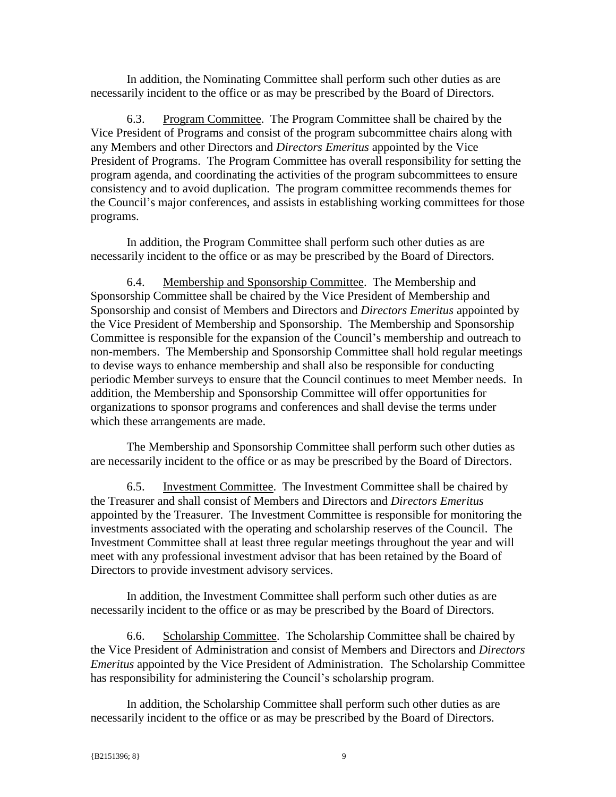In addition, the Nominating Committee shall perform such other duties as are necessarily incident to the office or as may be prescribed by the Board of Directors.

6.3. Program Committee. The Program Committee shall be chaired by the Vice President of Programs and consist of the program subcommittee chairs along with any Members and other Directors and *Directors Emeritus* appointed by the Vice President of Programs. The Program Committee has overall responsibility for setting the program agenda, and coordinating the activities of the program subcommittees to ensure consistency and to avoid duplication. The program committee recommends themes for the Council's major conferences, and assists in establishing working committees for those programs.

In addition, the Program Committee shall perform such other duties as are necessarily incident to the office or as may be prescribed by the Board of Directors.

6.4. Membership and Sponsorship Committee. The Membership and Sponsorship Committee shall be chaired by the Vice President of Membership and Sponsorship and consist of Members and Directors and *Directors Emeritus* appointed by the Vice President of Membership and Sponsorship. The Membership and Sponsorship Committee is responsible for the expansion of the Council's membership and outreach to non-members. The Membership and Sponsorship Committee shall hold regular meetings to devise ways to enhance membership and shall also be responsible for conducting periodic Member surveys to ensure that the Council continues to meet Member needs. In addition, the Membership and Sponsorship Committee will offer opportunities for organizations to sponsor programs and conferences and shall devise the terms under which these arrangements are made.

The Membership and Sponsorship Committee shall perform such other duties as are necessarily incident to the office or as may be prescribed by the Board of Directors.

6.5. Investment Committee. The Investment Committee shall be chaired by the Treasurer and shall consist of Members and Directors and *Directors Emeritus* appointed by the Treasurer. The Investment Committee is responsible for monitoring the investments associated with the operating and scholarship reserves of the Council. The Investment Committee shall at least three regular meetings throughout the year and will meet with any professional investment advisor that has been retained by the Board of Directors to provide investment advisory services.

In addition, the Investment Committee shall perform such other duties as are necessarily incident to the office or as may be prescribed by the Board of Directors.

6.6. Scholarship Committee. The Scholarship Committee shall be chaired by the Vice President of Administration and consist of Members and Directors and *Directors Emeritus* appointed by the Vice President of Administration. The Scholarship Committee has responsibility for administering the Council's scholarship program.

In addition, the Scholarship Committee shall perform such other duties as are necessarily incident to the office or as may be prescribed by the Board of Directors.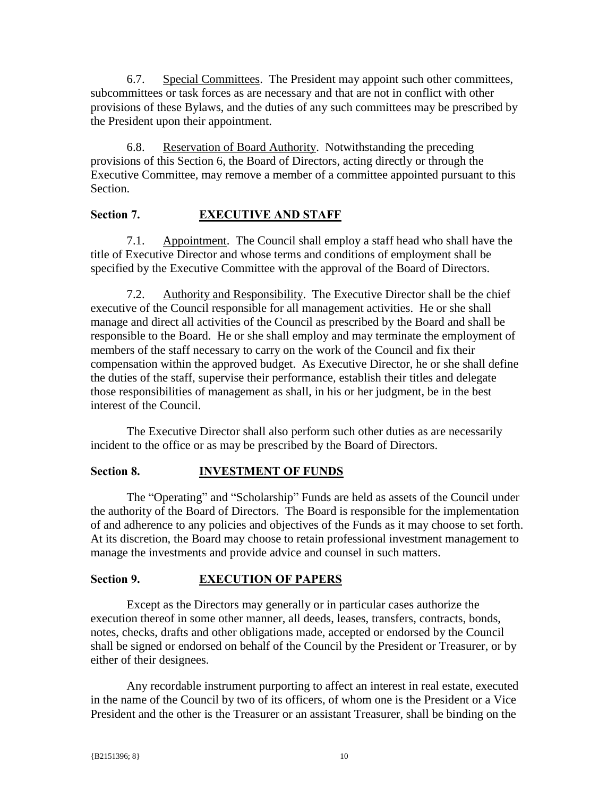6.7. Special Committees. The President may appoint such other committees, subcommittees or task forces as are necessary and that are not in conflict with other provisions of these Bylaws, and the duties of any such committees may be prescribed by the President upon their appointment.

6.8. Reservation of Board Authority. Notwithstanding the preceding provisions of this Section 6, the Board of Directors, acting directly or through the Executive Committee, may remove a member of a committee appointed pursuant to this Section.

## **Section 7. EXECUTIVE AND STAFF**

7.1. Appointment. The Council shall employ a staff head who shall have the title of Executive Director and whose terms and conditions of employment shall be specified by the Executive Committee with the approval of the Board of Directors.

7.2. Authority and Responsibility. The Executive Director shall be the chief executive of the Council responsible for all management activities. He or she shall manage and direct all activities of the Council as prescribed by the Board and shall be responsible to the Board. He or she shall employ and may terminate the employment of members of the staff necessary to carry on the work of the Council and fix their compensation within the approved budget. As Executive Director, he or she shall define the duties of the staff, supervise their performance, establish their titles and delegate those responsibilities of management as shall, in his or her judgment, be in the best interest of the Council.

The Executive Director shall also perform such other duties as are necessarily incident to the office or as may be prescribed by the Board of Directors.

# **Section 8. INVESTMENT OF FUNDS**

The "Operating" and "Scholarship" Funds are held as assets of the Council under the authority of the Board of Directors. The Board is responsible for the implementation of and adherence to any policies and objectives of the Funds as it may choose to set forth. At its discretion, the Board may choose to retain professional investment management to manage the investments and provide advice and counsel in such matters.

# **Section 9. EXECUTION OF PAPERS**

Except as the Directors may generally or in particular cases authorize the execution thereof in some other manner, all deeds, leases, transfers, contracts, bonds, notes, checks, drafts and other obligations made, accepted or endorsed by the Council shall be signed or endorsed on behalf of the Council by the President or Treasurer, or by either of their designees.

Any recordable instrument purporting to affect an interest in real estate, executed in the name of the Council by two of its officers, of whom one is the President or a Vice President and the other is the Treasurer or an assistant Treasurer, shall be binding on the